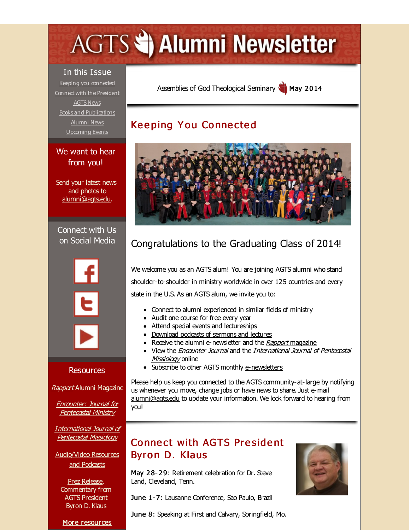# <span id="page-0-0"></span>**AGTS Statement Newsletter**

In this Issue Keeping you [connected](#page-0-0) Connect with the [President](#page-0-0) [AGTS](#page-0-0) News Books and [Publications](#page-0-0) [Alumni](#page-0-0) News [Upcoming](#page-0-0) Events

#### We want to hear from you!

Send your latest news and photos to [alumni@agts.edu](mailto:alumni@agts.edu).

Connect with Us on Social Media



#### Resources

[Rapport](http://r20.rs6.net/tn.jsp?f=001FK0QHlzpPRkLbf6LQWTSyVNIUXJyZQ0jih6yRcb_DnT4rbvZk_DCKeIS8nqXPvQ84MTqWjsBnHN37cCWLazmNgG_-uWOYGo_u3t5H4XnJqNkqKQzBSXCYDwNQSLbw7DNfFnqpBin6ikWk8sy_m1ed4S2k941luNxziOM3nV-snsz0-szHJon9ipVHGD92Hiv&c=&ch=) Alumni Magazine

Encounter: Journal for [Pentecostal](http://r20.rs6.net/tn.jsp?f=001FK0QHlzpPRkLbf6LQWTSyVNIUXJyZQ0jih6yRcb_DnT4rbvZk_DCKfQJ7tRc0sNPUVj_zMFLDBLc8dH3kDArX_LJ-K10o4iTNdidTpXFRC3_EeUY0zTTIEQ_jCa4KRgMg8UBJPIboRQyRZpzsiWk-Pu0VZy8UjhqQGRrpQhFfWR4_Uc_pdNY2NPG2qVTM2tk&c=&ch=) Ministry

[International](http://r20.rs6.net/tn.jsp?f=001FK0QHlzpPRkLbf6LQWTSyVNIUXJyZQ0jih6yRcb_DnT4rbvZk_DCKR0hjVzLeTijWueX2evozVVBRSEeOTZ-WT_SIdJnXacd6j2QeIT18VIlanA0lYbtacy50RKxu-_ZT5suw-P1SjAZktgsF85o5aqKOaQvKt0vupjqBD5m3Q-SA6CqCprU6eJfpSKZ-Ity&c=&ch=) Journal of Pentecostal Missiology

[Audio/Video](http://r20.rs6.net/tn.jsp?f=001FK0QHlzpPRkLbf6LQWTSyVNIUXJyZQ0jih6yRcb_DnT4rbvZk_DCKfxDj0N_LHOYlcSok52btLhU8Bjqz63aPvxYNbS5b2PyLGKvqNKkQQ0FToJMff8q10BfZGfchtgrvYF8714A7B2Rf7fo8KTs_SIGRn64vjM0ujThblV_jkRl57JA2LDPEtvGtPnnlBJi&c=&ch=) Resources and Podcasts

Prez [Release](http://r20.rs6.net/tn.jsp?f=001FK0QHlzpPRkLbf6LQWTSyVNIUXJyZQ0jih6yRcb_DnT4rbvZk_DCKSXZMf-vcL4j8SsFSKNlaoEx77By1kBMfbarKLL-zoPAJQ25jy6q6548qKkuVEJU130quA4WHTPKaG6ldsIfa05KSaHABbwi0t5EZP8zh7YD8dtedvqXMFlJGSJoJHWiVjxM0dqYf-8NNSr7Xue8u0E=&c=&ch=), Commentary from AGTS President Byron D. Klaus

More [resources](http://r20.rs6.net/tn.jsp?f=001FK0QHlzpPRkLbf6LQWTSyVNIUXJyZQ0jih6yRcb_DnT4rbvZk_DCKaUfQetufe_wSmcg-4shs-E61j1ffidjEdCXB1c1qA30R-_nJXCjrLMwZEIsyc25KMjIkgghtkYc-yi3Qz4DuCDA8j8hP9U7fj02YshQul9DkELb_E69VAK3KZeozdzlp2qdlwP7PvSj-ThDtvrlU00=&c=&ch=)

Assemblies of God [Theological](http://r20.rs6.net/tn.jsp?f=001FK0QHlzpPRkLbf6LQWTSyVNIUXJyZQ0jih6yRcb_DnT4rbvZk_DCKYBzeHaqo1PSV1juRELToIc1rxRe0Y8YefUVq2nG6JcPeXKi-TFKAyKuuFO8DnBtMYqWsSrTM1V42ZYy_CG4f4k4-pwQFhFGmzyIs8xwcMOn&c=&ch=) Seminary May 2014

## **Keeping You Connected**



# Congratulations to the Graduating Class of 2014!

We welcome you as an AGTS alum! You are joining AGTS alumni who stand shoulder-to-shoulder in ministry worldwide in over 125 countries and every state in the U.S. As an AGTS alum, we invite you to:

- Connect to alumni experienced in similar fields of ministry
- Audit one course for free every year
- Attend special events and lectureships
- [Download](http://r20.rs6.net/tn.jsp?f=001FK0QHlzpPRkLbf6LQWTSyVNIUXJyZQ0jih6yRcb_DnT4rbvZk_DCKfxDj0N_LHOYlcSok52btLhU8Bjqz63aPvxYNbS5b2PyLGKvqNKkQQ0FToJMff8q10BfZGfchtgrvYF8714A7B2Rf7fo8KTs_SIGRn64vjM0ujThblV_jkRl57JA2LDPEtvGtPnnlBJi&c=&ch=) podcasts of sermons and lectures
- Receive the alumni e-newsletter and the Rapport [magazine](http://r20.rs6.net/tn.jsp?f=001FK0QHlzpPRkLbf6LQWTSyVNIUXJyZQ0jih6yRcb_DnT4rbvZk_DCKeIS8nqXPvQ84MTqWjsBnHN37cCWLazmNgG_-uWOYGo_u3t5H4XnJqNkqKQzBSXCYDwNQSLbw7DNfFnqpBin6ikWk8sy_m1ed4S2k941luNxziOM3nV-snsz0-szHJon9ipVHGD92Hiv&c=&ch=)
- View the *[Encounter](http://r20.rs6.net/tn.jsp?f=001FK0QHlzpPRkLbf6LQWTSyVNIUXJyZQ0jih6yRcb_DnT4rbvZk_DCKR5hTYDxADtzJeDhNXXf61YwsSQ1jpCjvs7wM-dLBa7ePeYy3rZ6ZPnd6qaZg0Ywx5c4esSpt_v1KpM6y_IVuk4F68EK046ktV7joxBD1R5JavCpBFKShk8=&c=&ch=) Journal* and the *[International](http://r20.rs6.net/tn.jsp?f=001FK0QHlzpPRkLbf6LQWTSyVNIUXJyZQ0jih6yRcb_DnT4rbvZk_DCKR5hTYDxADtzatOGzJhirft63jPA_jek6L5zNGSHVATcCSg4o36NOd4UVkN_7pNMyrBfTOOz-Plv9BmpsM1L6Iu46VwV9t2N_HeF1S5Ma_6br4qpaxVnwRjlD4zXgmWlZze7fTls3MP_VPCwcbcw-QZ_qkYVv3R-ageieET1P7sQ&c=&ch=) Journal of Pentecostal* Missiology online
- Subscribe to other AGTS monthly [e-newsletters](http://r20.rs6.net/tn.jsp?f=001FK0QHlzpPRkLbf6LQWTSyVNIUXJyZQ0jih6yRcb_DnT4rbvZk_DCKR5hTYDxADtzGPeGa6lrIxPKwizx9ysKyW7LPiYAIe-K2l7P4OrIGWvMzsD1wB_CKZjcxWN2A7eB80fmqj3P1P_wtXjqX079sZvIW09XgM8eqbCDJxcXs6c=&c=&ch=)

Please help us keep you connected to the AGTS community-at-large by notifying us whenever you move, change jobs or have news to share. Just e-mail [alumni@agts.edu](mailto:alumni@agts.edu) to update your information. We look forward to hearing from you!

## **Connect with AGTS President** Byron D. Klaus

May 28-29: Retirement celebration for Dr. Steve Land, Cleveland, Tenn.

June 1- 7: Lausanne Conference, Sao Paulo, Brazil

June 8: Speaking at First and Calvary, Springfield, Mo.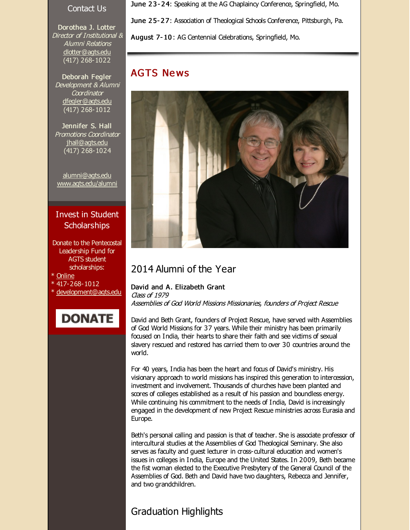#### Contact Us

Dorothea J. Lotter Director of Institutional & Alumni Relations [dlotter@agts.edu](mailto:dlotter@agts.edu) (417) 268-1022

Deborah Fegler Development & Alumni **Coordinator** [dfegler@agts.edu](mailto:dfegler@agts.edu) (417) 268-1012

Jennifer S. Hall Promotions Coordinator [jhall@agts.edu](mailto:jhall@agts.edu) (417) 268-1024

[alumni@agts.edu](mailto:alumni@agts.edu) [www.agts.edu/alumni](http://r20.rs6.net/tn.jsp?f=001FK0QHlzpPRkLbf6LQWTSyVNIUXJyZQ0jih6yRcb_DnT4rbvZk_DCKdSU5G8WtPChDuwoWIM5UwtKLrd_IBUooDQgTJ5TeE3KqpTrHqGp6I0MtcCETQEAI8gXGy_EyyUG81R2lGbzdcEhJnDHKdz3Y8dPzWSH8NhYQk22PQxMHmYS6vqfZA74oA==&c=&ch=)

#### Invest in Student **Scholarships**

- Donate to the Pentecostal Leadership Fund for AGTS student scholarships:
- \* [Online](http://r20.rs6.net/tn.jsp?f=001FK0QHlzpPRkLbf6LQWTSyVNIUXJyZQ0jih6yRcb_DnT4rbvZk_DCKQ6TkfJBFflxIjZ3U6J8AMTHXxDr51isWHlhrBtb8gbwDkX8gRhVWqadB6q7QND4sOzFdvUC28gfbS600ffp66USL02gW9NQZPUi50tbwNqxQ_rZ2XYNh-NnjDz0at259ttD3Yuvw8CPq_y8M5FJRS_S06--AgT0KA==&c=&ch=)
- \* 417-268-1012
- \* [development@agts.edu](mailto:development@agts.edu)



June 23-24: Speaking at the AG Chaplaincy Conference, Springfield, Mo.

June 2 5- 2 7: Association of Theological Schools Conference, Pittsburgh, Pa.

August 7- 10 : AG Centennial Celebrations, Springfield, Mo.

### **AGTS News**



#### 2014 Alumni of the Year

David and A. Elizabeth Grant Class of 1979 Assemblies of God World Missions Missionaries, founders of Project Rescue

David and Beth Grant, founders of Project Rescue, have served with Assemblies of God World Missions for 37 years. While their ministry has been primarily focused on India, their hearts to share their faith and see victims of sexual slavery rescued and restored has carried them to over 30 countries around the world.

For 40 years, India has been the heart and focus of David's ministry. His visionary approach to world missions has inspired this generation to intercession, investment and involvement. Thousands of churches have been planted and scores of colleges established as a result of his passion and boundless energy. While continuing his commitment to the needs of India, David is increasingly engaged in the development of new Project Rescue ministries across Eurasia and Europe.

Beth's personal calling and passion is that of teacher. She is associate professor of intercultural studies at the Assemblies of God Theological Seminary. She also serves as faculty and guest lecturer in cross-cultural education and women's issues in colleges in India, Europe and the United States. In 2009, Beth became the fist woman elected to the Executive Presbytery of the General Council of the Assemblies of God. Beth and David have two daughters, Rebecca and Jennifer, and two grandchildren.

## Graduation Highlights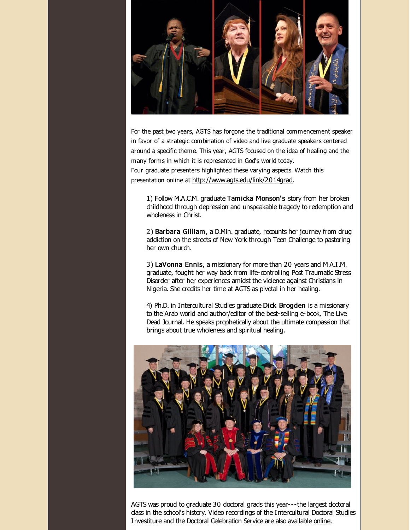

For the past two years, AGTS has forgone the traditional commencement speaker in favor of a strategic combination of video and live graduate speakers centered around a specific theme. This year, AGTS focused on the idea of healing and the many forms in which it is represented in God's world today. Four graduate presenters highlighted these varying aspects. Watch this presentation online at [http://www.agts.edu/link/2014grad](http://r20.rs6.net/tn.jsp?f=001FK0QHlzpPRkLbf6LQWTSyVNIUXJyZQ0jih6yRcb_DnT4rbvZk_DCKR5hTYDxADtzR5HVwLz569Z0IjYVe9usCghuLLLOlmSRbVATwEgDz_76EhoIGy94pFamK6XkVFUu_X3QqpahhDDWnxyS9ft9TrSHGrk7CAr_OAJR5ODtNrgx6U69s6SbAKpuOBno2Nsp&c=&ch=).

1) Follow M.A.C.M. graduate Tamicka Monson's story from her broken childhood through depression and unspeakable tragedy to redemption and wholeness in Christ.

2) Barbara Gilliam, a D.Min. graduate, recounts her journey from drug addiction on the streets of New York through Teen Challenge to pastoring her own church.

3) LaVonna Ennis, a missionary for more than 20 years and M.A.I.M. graduate, fought her way back from life-controlling Post Traumatic Stress Disorder after her experiences amidst the violence against Christians in Nigeria. She credits her time at AGTS as pivotal in her healing.

4) Ph.D. in Intercultural Studies graduate Dick Brogden is a missionary to the Arab world and author/editor of the best-selling e-book, The Live Dead Journal. He speaks prophetically about the ultimate compassion that brings about true wholeness and spiritual healing.



AGTS was proud to graduate 30 doctoral grads this year---the largest doctoral class in the school's history. Video recordings of the Intercultural Doctoral Studies Investiture and the Doctoral Celebration Service are also available [online](http://r20.rs6.net/tn.jsp?f=001FK0QHlzpPRkLbf6LQWTSyVNIUXJyZQ0jih6yRcb_DnT4rbvZk_DCKR5hTYDxADtzAeLFVp48-CzuisQTyroQo3BMawn1g3-dUpRV21ynqhlWD6SlZ1FFKHeqWBUsyaoWl2dGTbD0rtKTIQLeD9fN0ptF6psO0S9vtJHk43K0uM9nW363p6zQanU2dPIIsgQw7wG-UZLDz_AnbpnkZRK5Q0jO7Kskmsc-97DG4TchDsGRHZhe8I9siw==&c=&ch=).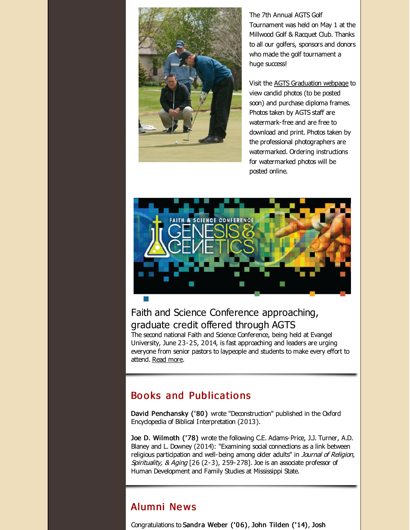

The 7th Annual AGTS Golf Tournament was held on May 1 at the Millwood Golf & Racquet Club. Thanks to all our golfers, sponsors and donors who made the golf tournament a huge success!

Visit the AGTS [Graduation](http://r20.rs6.net/tn.jsp?f=001FK0QHlzpPRkLbf6LQWTSyVNIUXJyZQ0jih6yRcb_DnT4rbvZk_DCKRtNO9Dmt4wKTnaScq-6zvNGVleSrYkDRhmGplf01gH0Nw0fO129krfTHUPpExT8WtvJcSlMVaQSjaNfeXSrIgix7A_gjVLAAbgT6qAX1n92XsCdrYlrhZJ_GN80rYfitrqzq9AAwG5CKC7cNUtPsO8=&c=&ch=) webpage to view candid photos (to be posted soon) and purchase diploma frames. Photos taken by AGTS staff are watermark-free and are free to download and print. Photos taken by the professional photographers are watermarked. Ordering instructions for watermarked photos will be posted online.



## Faith and Science Conference approaching, graduate credit offered through AGTS

The second national Faith and Science Conference, being held at Evangel University, June 23-25, 2014, is fast approaching and leaders are urging everyone from senior pastors to laypeople and students to make every effort to attend. [Read](http://r20.rs6.net/tn.jsp?f=001FK0QHlzpPRkLbf6LQWTSyVNIUXJyZQ0jih6yRcb_DnT4rbvZk_DCKR5hTYDxADtz-8d_zLQxraDEkmsu1zsbVlwNALq7IYJY3bPd2vqRcTCTnOyHbzJzy_jj14sXs7JidlCFfMSi__yHVz8RtBcPdm5qCprOJQMR4adFloxN37bPb438q-8qVv8myyFdQM36qMfXnW95XvqBJ98VvFR6l9tk8ArKoee7mi65mnqUDxV432-bMznMTAXhUK1MduLq-pDleoNWhFT8GFRnCl33wxrkYjKpYYG-oADYHx7_GqkQEWdqgGKeqBXoXoIZv1b-WUGSJfIwTdYzYTLKxg50TLyuuGXMNTUrwkxOwai2TFLzCYaUFStySglX4c4PN4a1cLfwUttWLvFK0AGJvsfBz7PsOGa5vuUndKt_elhinhHTGhGgYp7nqbfDDkohqpmlS5QhhJFwlAywq4NDAuGWZlFfTHcDS_YZ&c=&ch=) more.

## Books and Publications

David Penchansky ('80 ) wrote "Deconstruction" published in the Oxford Encyclopedia of Biblical Interpretation (2013).

Joe D. Wilmoth ('78) wrote the following C.E. Adams-Price, J.J. Turner, A.D. Blaney and L. Downey (2014): "Examining social connections as a link between religious participation and well-being among older adults" in Journal of Religion, Spirituality, & Aging [26 (2-3), 259-278]. Joe is an associate professor of Human Development and Family Studies at Mississippi State.

## Alumni Ne ws

Congratulations to Sandra Weber ('0 6), John Tilden ('14), Josh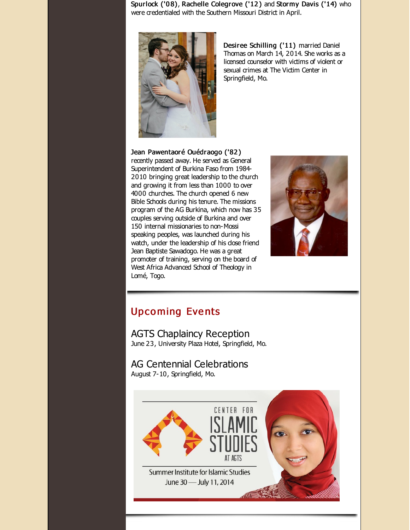Spurlock ('08), Rachelle Colegrove ('12) and Stormy Davis ('14) who were credentialed with the Southern Missouri District in April.



Desiree Schilling ('11) married Daniel Thomas on March 14, 2014. She works as a licensed counselor with victims of violent or sexual crimes at The Victim Center in Springfield, Mo.

Jean Pawentaoré Ouédraogo ('82 ) recently passed away. He served as General Superintendent of Burkina Faso from 1984- 2010 bringing great leadership to the church and growing it from less than 1000 to over 4000 churches. The church opened 6 new Bible Schools during his tenure. The missions program of the AG Burkina, which now has 35 couples serving outside of Burkina and over 150 internal missionaries to non-Mossi speaking peoples, was launched during his watch, under the leadership of his dose friend Jean Baptiste Sawadogo. He was a great promoter of training, serving on the board of West Africa Advanced School of Theology in Lomé, Togo.



# **Upcoming Events**

AGTS Chaplaincy Reception June 23, University Plaza Hotel, Springfield, Mo.

AG Centennial Celebrations August 7-10, Springfield, Mo.